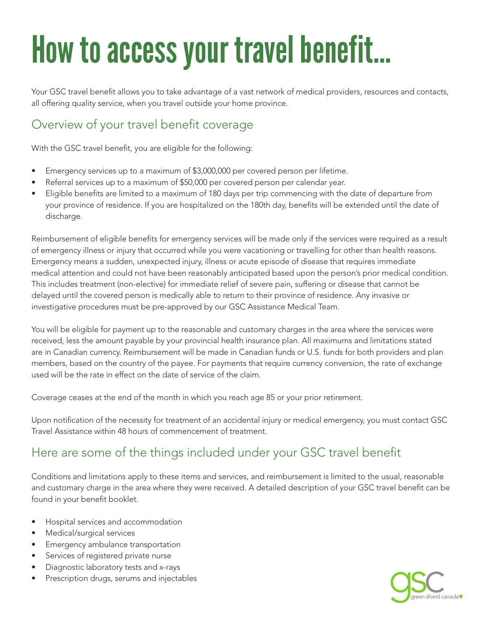# How to access your travel benefit…

Your GSC travel benefit allows you to take advantage of a vast network of medical providers, resources and contacts, all offering quality service, when you travel outside your home province.

# Overview of your travel benefit coverage

With the GSC travel benefit, you are eligible for the following:

- Emergency services up to a maximum of \$3,000,000 per covered person per lifetime.
- Referral services up to a maximum of \$50,000 per covered person per calendar year.
- Eligible benefits are limited to a maximum of 180 days per trip commencing with the date of departure from your province of residence. If you are hospitalized on the 180th day, benefits will be extended until the date of discharge.

Reimbursement of eligible benefits for emergency services will be made only if the services were required as a result of emergency illness or injury that occurred while you were vacationing or travelling for other than health reasons. Emergency means a sudden, unexpected injury, illness or acute episode of disease that requires immediate medical attention and could not have been reasonably anticipated based upon the person's prior medical condition. This includes treatment (non-elective) for immediate relief of severe pain, suffering or disease that cannot be delayed until the covered person is medically able to return to their province of residence. Any invasive or investigative procedures must be pre-approved by our GSC Assistance Medical Team.

You will be eligible for payment up to the reasonable and customary charges in the area where the services were received, less the amount payable by your provincial health insurance plan. All maximums and limitations stated are in Canadian currency. Reimbursement will be made in Canadian funds or U.S. funds for both providers and plan members, based on the country of the payee. For payments that require currency conversion, the rate of exchange used will be the rate in effect on the date of service of the claim.

Coverage ceases at the end of the month in which you reach age 85 or your prior retirement.

Upon notification of the necessity for treatment of an accidental injury or medical emergency, you must contact GSC Travel Assistance within 48 hours of commencement of treatment.

# Here are some of the things included under your GSC travel benefit

Conditions and limitations apply to these items and services, and reimbursement is limited to the usual, reasonable and customary charge in the area where they were received. A detailed description of your GSC travel benefit can be found in your benefit booklet.

- Hospital services and accommodation
- Medical/surgical services
- Emergency ambulance transportation
- Services of registered private nurse
- Diagnostic laboratory tests and x-rays
- Prescription drugs, serums and injectables

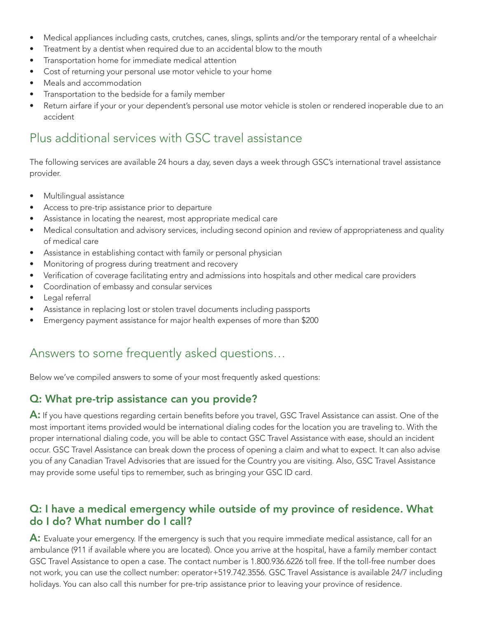- Medical appliances including casts, crutches, canes, slings, splints and/or the temporary rental of a wheelchair
- Treatment by a dentist when required due to an accidental blow to the mouth
- Transportation home for immediate medical attention
- Cost of returning your personal use motor vehicle to your home
- Meals and accommodation
- Transportation to the bedside for a family member
- Return airfare if your or your dependent's personal use motor vehicle is stolen or rendered inoperable due to an accident

# Plus additional services with GSC travel assistance

The following services are available 24 hours a day, seven days a week through GSC's international travel assistance provider.

- Multilingual assistance
- Access to pre-trip assistance prior to departure
- Assistance in locating the nearest, most appropriate medical care
- Medical consultation and advisory services, including second opinion and review of appropriateness and quality of medical care
- Assistance in establishing contact with family or personal physician
- Monitoring of progress during treatment and recovery
- Verification of coverage facilitating entry and admissions into hospitals and other medical care providers
- Coordination of embassy and consular services
- Legal referral
- Assistance in replacing lost or stolen travel documents including passports
- Emergency payment assistance for major health expenses of more than \$200

## Answers to some frequently asked questions…

Below we've compiled answers to some of your most frequently asked questions:

#### Q: What pre-trip assistance can you provide?

A: If you have questions regarding certain benefits before you travel, GSC Travel Assistance can assist. One of the most important items provided would be international dialing codes for the location you are traveling to. With the proper international dialing code, you will be able to contact GSC Travel Assistance with ease, should an incident occur. GSC Travel Assistance can break down the process of opening a claim and what to expect. It can also advise you of any Canadian Travel Advisories that are issued for the Country you are visiting. Also, GSC Travel Assistance may provide some useful tips to remember, such as bringing your GSC ID card.

#### Q: I have a medical emergency while outside of my province of residence. What do I do? What number do I call?

A: Evaluate your emergency. If the emergency is such that you require immediate medical assistance, call for an ambulance (911 if available where you are located). Once you arrive at the hospital, have a family member contact GSC Travel Assistance to open a case. The contact number is 1.800.936.6226 toll free. If the toll-free number does not work, you can use the collect number: operator+519.742.3556. GSC Travel Assistance is available 24/7 including holidays. You can also call this number for pre-trip assistance prior to leaving your province of residence.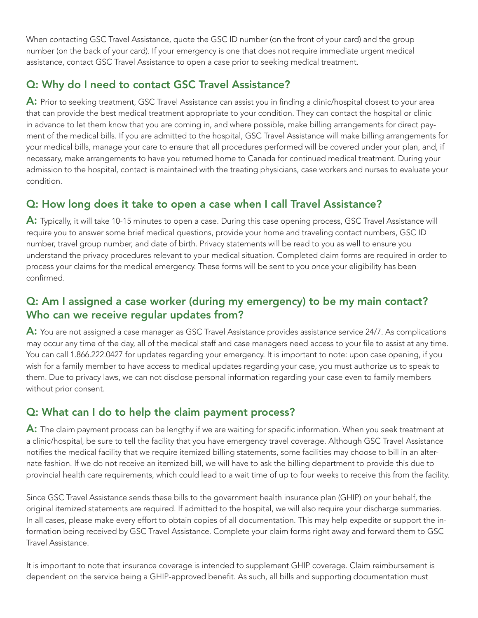When contacting GSC Travel Assistance, quote the GSC ID number (on the front of your card) and the group number (on the back of your card). If your emergency is one that does not require immediate urgent medical assistance, contact GSC Travel Assistance to open a case prior to seeking medical treatment.

## Q: Why do I need to contact GSC Travel Assistance?

A: Prior to seeking treatment, GSC Travel Assistance can assist you in finding a clinic/hospital closest to your area that can provide the best medical treatment appropriate to your condition. They can contact the hospital or clinic in advance to let them know that you are coming in, and where possible, make billing arrangements for direct payment of the medical bills. If you are admitted to the hospital, GSC Travel Assistance will make billing arrangements for your medical bills, manage your care to ensure that all procedures performed will be covered under your plan, and, if necessary, make arrangements to have you returned home to Canada for continued medical treatment. During your admission to the hospital, contact is maintained with the treating physicians, case workers and nurses to evaluate your condition.

## Q: How long does it take to open a case when I call Travel Assistance?

A: Typically, it will take 10-15 minutes to open a case. During this case opening process, GSC Travel Assistance will require you to answer some brief medical questions, provide your home and traveling contact numbers, GSC ID number, travel group number, and date of birth. Privacy statements will be read to you as well to ensure you understand the privacy procedures relevant to your medical situation. Completed claim forms are required in order to process your claims for the medical emergency. These forms will be sent to you once your eligibility has been confirmed.

#### Q: Am I assigned a case worker (during my emergency) to be my main contact? Who can we receive regular updates from?

A: You are not assigned a case manager as GSC Travel Assistance provides assistance service 24/7. As complications may occur any time of the day, all of the medical staff and case managers need access to your file to assist at any time. You can call 1.866.222.0427 for updates regarding your emergency. It is important to note: upon case opening, if you wish for a family member to have access to medical updates regarding your case, you must authorize us to speak to them. Due to privacy laws, we can not disclose personal information regarding your case even to family members without prior consent.

## Q: What can I do to help the claim payment process?

A: The claim payment process can be lengthy if we are waiting for specific information. When you seek treatment at a clinic/hospital, be sure to tell the facility that you have emergency travel coverage. Although GSC Travel Assistance notifies the medical facility that we require itemized billing statements, some facilities may choose to bill in an alternate fashion. If we do not receive an itemized bill, we will have to ask the billing department to provide this due to provincial health care requirements, which could lead to a wait time of up to four weeks to receive this from the facility.

Since GSC Travel Assistance sends these bills to the government health insurance plan (GHIP) on your behalf, the original itemized statements are required. If admitted to the hospital, we will also require your discharge summaries. In all cases, please make every effort to obtain copies of all documentation. This may help expedite or support the information being received by GSC Travel Assistance. Complete your claim forms right away and forward them to GSC Travel Assistance.

It is important to note that insurance coverage is intended to supplement GHIP coverage. Claim reimbursement is dependent on the service being a GHIP-approved benefit. As such, all bills and supporting documentation must